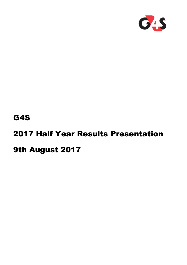

# G4S

# 2017 Half Year Results Presentation

# 9th August 2017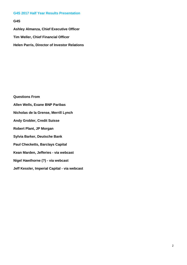**G4S Ashley Almanza, Chief Executive Officer Tim Weller, Chief Financial Officer Helen Parris, Director of Investor Relations** 

**Questions From Allen Wells, Exane BNP Paribas Nicholas de la Grense, Merrill Lynch Andy Grobler, Credit Suisse Robert Plant, JP Morgan Sylvia Barker, Deutsche Bank Paul Checketts, Barclays Capital Kean Marden, Jefferies - via webcast Nigel Hawthorne (?) - via webcast Jeff Kessler, Imperial Capital - via webcast**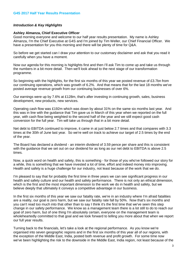# *Introduction & Key Highlights*

# **Ashley Almanza, Chief Executive Officer**

Good morning everyone and welcome to our half year results presentation. My name is Ashley Almanza, I'm the Chief Executive at G4S and I'm joined by Tim Weller, our Chief Financial Officer. We have a presentation for you this morning and there will be plenty of time for Q&A.

So before we get started can I draw your attention to our customary disclaimer and ask that you read it carefully when you have a moment.

Now our agenda for this morning is highlights first and then I'll ask Tim to come up and take us through the numbers in a bit more detail. Then we'll look ahead to the next stage of our transformation programme.

So beginning with the highlights, for the first six months of this year we posted revenue of £3.7bn from our continuing operations, which was growth of 6.2%. And that means that for the last 18 months we've posted average revenue growth from our continuing businesses of over 6%.

Our earnings were up by 7.6% at £128m, that's after investing in continuing growth, sales, business development, new products, new services.

Operating cash flow was £192m which was down by about 31% on the same six months last year. And this was in line with the guidance that Tim gave us in March of this year when we reported on the full year, with cash flow being weighted to the second half of the year and we still expect good cash conversion for the full year. Tim will take us through that in a bit more detail.

Net debt to EBITDA continued to improve, it came in at just below 2.7 times and that compares with 3.3 times at the 30th of June last year. So we're well on track to achieve our target of 2.5 times by the end of the year.

The Board has declared a dividend - an interim dividend of 3.59 pence per share and this is consistent with the guidance that we set out on our dividend for as long as our net debt to EBITDA is above 2.5 times.

Now, a quick word on health and safety, this is something - for those of you who've followed our story for a while, this is something that we have invested a lot of time, effort and indeed money into improving. Health and safety is a huge challenge for our industry, not least because of the work that we do.

I'm pleased to say that for probably the first time in three years we can see significant progress in our health and safety culture and our health and safety performance. There is not only an ethical dimension, which is the first and the most important dimension to the work we do in health and safety, but we believe deeply that ultimately it conveys a competitive advantage in our business.

In the first six months of this year we saw our fatality rate, we're in an industry where I'm afraid fatalities are a reality, our goal is zero harm, but we saw our fatality rate fall by 50%. Now that's six months and you can't read too much into that other than to say I think it's the first time that we've seen this step change in our safety performance. We know as a management team there is a lot still to do to reach our goal of zero harm, but of one thing I'm absolutely certain, everyone on the management team is wholeheartedly committed to that goal and we look forward to telling you more about that when we report our full year results.

Turning back to the financials, let's take a look at the regional performance. As you know we're organised into seven geographic regions and in the first six months of this year all of our regions, with the exception of the Middle East, India, posted both revenue and profit growth. For some time now we've been highlighting the risk to the downside in the Middle East, India region, not least because of the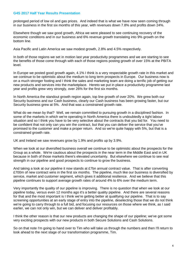prolonged period of low oil and gas prices. And indeed that is what we have now seen coming through in our business in the first six months of this year, with revenues down 7.8% and profits down 24%.

Elsewhere though we saw good growth, Africa we were pleased to see continuing recovery of the economic conditions and in our business and 6% revenue growth translating into 9% growth on the bottom line.

Asia Pacific and Latin America we saw modest growth, 2.8% and 4.5% respectively.

In both of those regions we set in motion last year productivity programmes and we are starting to see the benefits of those come through with each of those regions posting growth of over 15% at the PBITA level.

In Europe we posted good growth again, 4.1% I think is a very respectable growth rate in this market and we continue to be optimistic about the medium to long term prospects in Europe. Our business now is on a much stronger footing and I think the sales and marketing team are doing a terrific job of getting our new products and services into the marketplace. Hereto we put in place a productivity programme last year and profits grew very strongly, over 26% for the first six months.

In North America the standout growth region again, top line growth of over 20%. We grew both our Security business and our Cash business, clearly our Cash business has been growing faster, but our Security business grew at 5%. And that was a constrained growth rate.

What do we mean by that? Well, we remain committed to pursuing growth in a disciplined fashion. In some of the markets in which we're operating in North America there is undoubtedly a tight labour situation and so I think you have to be very selective about the contracts that you bid for. You need to be confident that not only can you win the contract, but that you can deliver the service that you've promised to the customer and make a proper return. And so we're quite happy with 5%, but that is a constrained growth rate.

UK and Ireland we saw revenues grow by 1.9% and profits up by 3.9%.

When we look at our diversified business overall we continue to be optimistic about the prospects for the Group as a whole. We're cautious about the prospects in the near term in the Middle East and in UK because in both of those markets there's elevated uncertainty. But elsewhere we continue to see real strength in our pipeline and good prospects to continue to grow the business.

And taking a look at our pipeline it now stands at £7bn annual contract value. That is after converting £700m of new contract wins in the first six months. The pipeline, much like our business is diversified by service, market and customer segment, which gives it additional resilience. And we believe that this pipeline continues to support average growth rates of around 4% to 6% over the medium term.

Very importantly the quality of our pipeline is improving. There is no question that when we look at our pipeline today, versus even 12 months ago it's a better quality pipeline. And there are several reasons for that and the most important is I think we're getting better at qualifying our pipeline. That is to say screening opportunities at an early stage of entry into the pipeline, deselecting those that we do not think we're going to carry through to a full bid, and focusing our resources on those where we think, as I said earlier, we can not only win, but we can deliver and deliver profitably.

I think the other reason is that our new products are changing the shape of our pipeline; we've got some very exciting prospects with our new products in both Secure Solutions and Cash Solutions.

So on that note I'm going to hand over to Tim who will take us through the numbers and then I'll return to look ahead to the next stage of our transformation programme, Tim.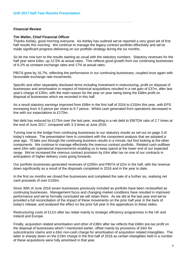. . . . . . . . . . . . . . . . . . . . . . . . . . . . . . . . . . . . . . . . . . . . . . . . . . . . . . . . . . . . . .

# *Financial Review*

# **Tim Weller, Chief Financial Officer**

Thanks Ashley, good morning everyone. As Ashley has outlined we've reported a very good set of first half results this morning. We continue to manage the legacy contract portfolio effectively and we've made significant progress delivering on our portfolio strategy during the six months.

So let me now turn to the results starting as usual with the statutory numbers. Statutory revenues for the half year were £4bn, up 12.5% at actual rates. This reflects good growth from our continuing businesses of 6.2% at constant exchange rates and 17% at actual rates.

PBITA grew by 16.7%, reflecting the performance in our continuing businesses, coupled once again with favourable exchange rate movements.

Specific and other separately disclosed items including investment in restructuring, profit on disposal of businesses and amortisation in respect of historical acquisitions resulted in a net gain of £37m, after last year's charge of £35m, with the main reason for the year on year swing being the £68m profit on disposal of businesses which we recorded in this half.

As a result statutory earnings improved from £69m in the first half of 2016 to £150m this year, with EPS increasing from 4.5 pence per share to 9.7 pence. Whilst cash generated from operations decreased in line with our expectations to £170m.

Net debt has reduced by £175m over the last year, resulting in a net debt to EBITDA ratio of 2.7 times at the end of June 2017, compared with 3.3 times at June 2016.

Turning now to the bridge from continuing businesses to our statutory results as set out on page 3 of today's release. The presentation here is consistent with the component analysis that we adopted a year ago. I'll take you through the continuing business results in a minute, but first looking at the other components. We continue to manage effectively the onerous contract portfolio. Related cash outflows were £6m with operational improvements enabling us to keep spend at the lower end of our expected range. We've increased the onerous contract provision by £4m after tax on one of our contracts in anticipation of higher delivery costs going forwards.

Our portfolio businesses generated revenues of £200m and PBITA of £2m in the half, with the revenue down significantly as a result of the disposals completed in 2016 and in the year to date.

In the first six months we closed five businesses and completed the sale of a further six, realising net cash proceeds of over £150m.

Since 30th of June 2016 seven businesses previously included as portfolio have been reclassified as continuing businesses. Management focus and changing market conditions have resulted in improved performance and we've formally concluded we will retain them. As we did at the last year end we've provided a full reconciliation of the impact of these movements on the prior half year in the back of today's release, and analysed the effect on the prior full year in the appendices to these slides.

Restructuring costs of £11m after tax relate mainly to strategic efficiency programmes in the UK and Ireland and Europe.

Finally, acquisition related amortisation and other of £38m after tax reflects that £68m pre-tax profit on the disposal of businesses which I mentioned earlier, offset mainly by provisions of £6m for subcontractor claims and a £6m non-cash charge for amortisation of acquisition related intangibles. The latter is sharply down on the £19m charge in the first half of 2016 as certain intangibles held in a number of these acquisitions were fully amortised in that year.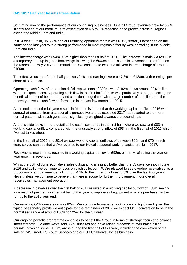So turning now to the performance of our continuing businesses. Overall Group revenues grew by 6.2%, slightly ahead of our medium term expectation of 4% to 6% reflecting good growth across all regions except the Middle East and India.

PBITA was £235m, up 5.9% and our resulting operating margin was 6.3%, broadly unchanged on the same period last year with a strong performance in most regions offset by weaker trading in the Middle East and India.

The interest charge was £54m, £5m higher than the first half of 2016. The increase is mainly a result in a temporary step up in gross borrowings following the €500m bond issued in November to pre-finance the March and May 2017 debt maturities. We continue to expect a full year interest charge of around £100m.

The effective tax rate for the half year was 24% and earnings were up 7.6% to £128m, with earnings per share of 8.3 pence.

Operating cash flow, after pension deficit repayments of £20m, was £192m, down around 30% in line with our expectations. Operating cash flow in the first half of 2016 was particularly strong, reflecting the beneficial impact of better terms and conditions negotiated with a large number of suppliers and the recovery of weak cash flow performance in the last few months of 2015.

As I mentioned at the full year results in March this meant that the working capital profile in 2016 was somewhat unusual from a seasonality perspective and as expected 2017 has reverted to the more normal pattern, with cash generation significantly weighted towards the second half.

And this slide looks in more detail at the cash flow trends in the first half, where we saw and £83m working capital outflow compared with the unusually strong inflow of £53m in the first half of 2016 which I've just talked about.

In the first half of 2015 and 2014 we saw working capital outflows of between £60m and £70m each year, so you can see that we've reverted to our typical seasonal working capital profile in 2017.

Receivables movements resulted in a working capital outflow of £52m, primarily reflecting the year on year growth in revenues.

Whilst the 30th of June 2017 days sales outstanding is slightly better than the 53 days we saw in June 2016 and 2015, we continue to focus on cash collection. We're pleased to see overdue receivables as a proportion of annual revenue falling from 4.1% to the current half year 3.3% over the last two years. Nevertheless we continue to believe that there is scope for further improvement in our overall receivables management operation.

A decrease in payables over the first half of 2017 resulted in a working capital outflow of £38m, mainly as a result of payments in the first half of this year to suppliers of equipment which is purchased in the run up to the 2016 year end.

Our resulting OCF conversion was 82%. We continue to manage working capital tightly and given the typical seasonality profile we anticipate for the remainder of 2017 we expect OCF conversion to be in the normalised range of around 100% to 125% for the full year.

Our ongoing portfolio programme continues to benefit the Group in terms of strategic focus and balance sheet strength. To date we've sold 35 businesses and have raised proceeds of over half a billion pounds, of which some £150m, arose during the first half of this year, including the completion of the sale of G4S Israel, US Youth Services and our UK Children's Homes business.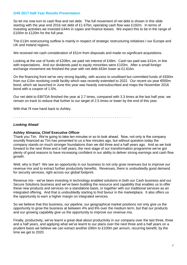So let me now turn to cash flow and net debt. The full movement of net debt is shown in this slide starting with the year end 2016 net debt of £1.67bn; operating cash flow was £192m. In terms of investing activities we invested £44m in capex and finance leases. We expect this to be in the range of £100m to £120m for the full year.

The £13m restructuring outflow is mainly in respect of strategic restructuring initiatives I our Europe and UK and Ireland regions.

We received net cash consideration of £51m from disposals and made no significant acquisitions.

Looking at the use of funds of £208m, we paid net interest of £48m. Cash tax paid was £41m, in line with expectations. And our dividends paid to equity minorities were £103m. After a small foreign exchange movement we finished the year with net debt £63m lower at £1.61bn.

On the financing front we've very strong liquidity, with access to unutilised but committed funds of £930m from our £1bn revolving credit facility which was recently extended to 2022. Our recent six year €500m bond, which we launched in June this year was heavily oversubscribed and maps the November 2016 bond with a coupon of 1.5%.

Our net debt to EBITDA finished the year at 2.7 times, compared with 3.3 times at the last half year, we remain on track to reduce that further to our target of 2.5 times or lower by the end of this year.

With that I'll now hand back to Ashley.

. . . . . . . . . . . . . . . . . . . . . . . . . . . . . . . . . . . . . . . . . . . . . . . . . . . . . . . . . . . . . .

# *Looking Ahead*

# **Ashley Almanza, Chief Executive Officer**

Thank you Tim. We're going to take ten minutes or so to look ahead. Now, not only is the company soundly financed as Tim has presented to us a few minutes ago, but without question today the company stands on much stronger foundations than we did three and a half years ago. And as we look forward to the next three and a half years, the next stage of our transformation programme we've got plenty of good reasons to have increasing confident in our ability to deliver strong earnings and cash flow growth.

Well, why is that? We see an opportunity in our business to not only grow revenues but to improve our revenue mix and to extract further productivity benefits. Revenues, there is undoubtedly good demand for security services, right across our global footprint.

Revenue mix - we've been investing in technology enabled solutions in both our Cash business and our Secure Solutions business and we've been building the resource and capability that enables us to offer these new products and services on a standalone basis, or together with our traditional services as an integrated offering. And that is undoubtedly starting to find favour in the marketplace. It also offers us the opportunity to earn a higher margin on integrated services.

So we believe that this business, our pipeline, our geographical market positions not only give us the opportunity to grow the business at between 4% and 6% over the medium term, but that our products and our growing capability give us the opportunity to improve our revenue mix.

Finally, productivity, we've learnt a great deal about productivity in our company over the last three, three and a half years, and applying what we've learnt to our plans over the next three and a half years on a prudent basis we believe we can extract another £90m to £100m per annum, recurring benefit, by the time we get to 2020.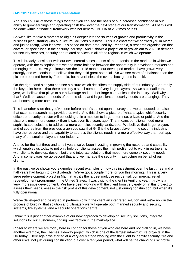And if you pull all of these things together you can see the basis of our increased confidence in our ability to grow earnings and operating cash flow over the next stage of our transformation. All of this will be done within a financial framework with net debt to EBITDA of 2.5 times or less.

So we'd like to take a moment to dig a bit deeper into the sources of growth and productivity in the business plan, starting with our Secure Solutions business. This is a chart that we showed you in March and just to recap, what it shows - it's based on data produced by Freedonia, a research organisation that covers, or specialises in the security industry. And it shows a projection of growth out to 2025 in demand for security services, security and related services in all of the regions in which we operate.

This is broadly consistent with our own internal assessments of the potential in the markets in which we operate, with the exception that we see more balance between the opportunity in developed markets and emerging markets. As you know over the last 18 months our developed markets have grown very strongly and we continue to believe that they hold great potential. So we see more of a balance than the picture presented here by Freedonia, but nevertheless the overall background is positive.

On the right hand side you can see a picture which describes the supply side of our industry. And really the key point here is that there are only a small number of very large players. As we said earlier this year, we believe that plays to our advantage and to other large companies in the industry. Well why is that? Well, because the needs of our mid-sized and large clients - security needs are changing. They are becoming more complex.

This is another slide that you've seen before and it's based upon a survey that we conducted, but also that external research has provided us with. And this shows a picture of what a typical chief security officer, or security director will be looking at in a medium to large enterprise, private or public. And the picture is much more complex than it was even five years ago. That means our clients need more sophisticated solutions to address a more complex security landscape. We believe that larger players and of course from the previous graph you saw that G4S is the largest player in the security industry, have the resource and the capability to address the client's needs in a more effective way than perhaps many of the smaller players in our industry.

And so for the last three and a half years we've been investing in growing the resource and capability which enables us today to not only help our clients assess their risk profile, but to work in partnership with clients to develop, design, build and integrate solutions that meet more complex security needs. And in some cases we go beyond that and we manage the security infrastructure on behalf of our clients.

In the past we've shown you examples, recent examples of how this investment over the last three and a half years had begun to pay dividends. We've got a couple more for you this morning. This is a very large redevelopment project in Manhattan; it's the largest multiuse residential, commercial, retail, redevelopment programme in the United States. I was visiting the client in April this year; it truly is a very impressive development. We have been working with the client from very early on in this project to assess their needs, assess the risk profile of this development, not just during construction, but when it's fully operational.

We've developed and designed in partnership with the client an integrated solution and we're now in the process of building that solution and ultimately we will operate both manned security and security systems, fire systems, and a security operations centre.

I think this is just another example of our new approach to developing security solutions, integrate solutions for our customers, finding real traction in the marketplace.

Closer to where we are today here in London for those of you who are here and not dialling in, we have another example, the Thames Tideway project, which is one of the largest infrastructure projects in the UK today. Here again we started at a very early stage working with the client to identify security, fire and other risks, not just during construction but over a ten year period, what will be the changing risk profile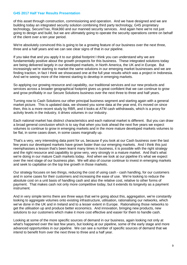of this asset through construction, commissioning and operation. And we have designed and we are building today an integrated security solution combining third party technology, G4S proprietary technology, SecureTrax, Risk360 and our manned security services. And again here we're not just going to design and build, but we are ultimately going to operate the security operations centre on behalf of the client over a ten year period.

We're absolutely convinced this is going to be a growing feature of our business over the next three, three and a half years and we can see clear signs of that in our pipeline.

If you take that and you apply it to our global footprint I think you can understand why we are fundamentally positive about the growth prospects for this business. These integrated solutions today are being delivered largely in our developed markets, in North America, the UK and in Europe. But increasingly we're starting to market the same solutions in our emerging market businesses and we are finding traction, in fact I think we showcased one at the full year results which was a project in Indonesia. And we're seeing more of the interest starting to develop in emerging markets.

So applying our growing resource and capability, our traditional services and our new products and services across a broader geographical footprint gives us great confident that we can continue to grow and grow profitably in our Secure Solutions business over the next three to three and half years.

Turning now to Cash Solutions our other principal business segment and starting again with a general market picture. This is updated data, we showed you some data at the year end, it's moved on since then, this is a more recent study by RBR, and it looks at ATM cash withdrawals, which is a proxy for activity levels in the industry, it drives volumes in our industry.

Each national market has distinct characteristics and each national market is different. But you can draw a broad general conclusion which is to say that when you look ahead the next five years we expect volumes to continue to grow in emerging markets and in the more mature developed markets volumes to be flat, in some cases down, in some cases marginally up.

That's a very, very interesting data point for us, because if you look at our Cash business over the last few years our developed markets have grown faster than our emerging markets. And I think this just reemphasises a lesson that's been learnt many times in business, it is possible with the right strategy and the right resource and capability to grow very, very strongly in a mature market. And that's what we're doing in our mature Cash markets today. And when we look at our pipeline it's what we expect over the next stage of our business plan. We will also of course continue to invest in emerging markets and seek to capitalise on the top line growth in those markets.

Our strategy focuses on two things, reducing the cost of using cash - cash handling, for our customers and in some cases for their customers and increasing the ease of use. We're looking to reduce the absolute cost on a unit basis of handling cash and also the relative cost, relative to other forms of payment. That makes cash not only more competitive today, but it extends its longevity as a payment instrument.

And in very simple terms there are three ways that we're going about this, aggregation, we're constantly looking to aggregate volumes onto existing infrastructure, utilisation, rationalising our networks, which we've done in the UK and in Ireland and to a lesser extent in Europe. Rationalising those networks to get the utilisation up and produce better economics. And innovation, bringing new products, new solutions to our customers which make it more cost effective and easier for them to handle cash.

Looking at some of the more specific sources of demand in our business, again looking not only at what's happened over the last few years, but looking at our pipeline, some of the early stage and more advanced opportunities in our pipeline. We can see a number of specific sources of demand that we intend to benefit from over the next three to three and a half year.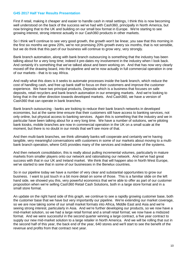First if retail, making it cheaper and easier to handle cash in retail settings, I think this is now becoming well understood on the back of the success we've had with Cash360, principally in North America, but now bringing that to the UK and building on our small box format in Europe. We're starting to see growing interest, strong interest actually in our Cash360 products in other markets.

So I think we'll continue to see very good growth, the growth won't be linear, you saw that this morning in the first six months we grew 20%, we're not promising 20% growth every six months, that is not sensible, but we do think that this part of our business will continue to grow very, very strongly.

Bank branch automation, along with bank branch outsourcing is something that the industry has been talking about for a very long time; indeed it pre-dates my involvement in the industry when I look back. And certainly it's something that we've talked about and been working on. And that has now very clearly moved off the drawing board, into the pipeline and we're now actually in full commercial operation in one of our markets - that is to say Africa.

And really what this does is it seeks to automate processes inside the bank branch, which reduce the cost of handling cash, and free up bank staff to focus on their customers and improve the customer experience. We have two principal products, Deposita which is a business that focuses on safe deposits, retail recyclers and bank branch automation in our emerging markets. And we're looking to bring that in the other direction towards developed markets. And Cash360, we have a version of Cash360 that can operate in bank branches.

Bank branch outsourcing - banks are looking to reduce their bank branch networks in developed economies, but at the same time ensure that their customers still have access to banking services, not only online, but physical access to banking services. Again this is something that the industry and we in particular have been talking about for a very long time. We have a number of solutions, we're piloting bank kiosks, mobile branches are now in commercial operation in the UK on a small scale at the moment, but there is no doubt in our minds that we'll see more of that.

And then multi-bank branches, we think ultimately banks will cooperate and certainly we're having tangible, very meaningful conversations with customers in some of our markets about moving to a multibank branch operation, where G4S provides many of the services and indeed some of the systems.

And then network consolidation, this is really about pulling incremental volumes, particularly in mature markets from smaller players onto our network and rationalising our network. And we've had great success with that in our UK and Ireland market. We think that will happen also in North West Europe, we've started to see that in some of our businesses in the Benelux countries.

So in our pipeline today we have a number of very clear and substantial opportunities to grow our business. I want to just touch in a bit more detail on some of those. This is a familiar slide on the left hand side, we showed you this, very powerful economics that we're able to offer as part of our customer proposition when we're selling Cash360 Retail Cash Solutions, both in a large store format and in a small store format.

An update on the right hand side of this graph, we continue to see a rapidly growing customer base, both the customer base that we have but very importantly our pipeline. We're extending our market coverage, so we are now taking some of our small market formats into Africa, Middle East and Asia and we're seeing strong interest, particularly in Asia. And we're further developing our products, so we now have a mid-market solution, so we had a large retail format and a small retail format; we now have a midsized format. And we were successful in the second quarter winning a large contract, a five year contract to supply our new mid-market solution to a large retailer in North America. And we will be rolling that out in the second half of this year, the back end of the year, 640 stores and we'll start to see the benefit of the revenue and profits from that contract next year.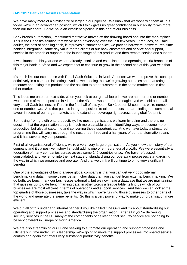We have many more of a similar size or larger in our pipeline. We know that we won't win them all, but today we're in an advantaged position, which I think gives us great confidence in our ability to win more than our fair share. So we have an excellent pipeline in this part of our business.

Bank branch automation, I mentioned that we've moved off the drawing board and into the marketplace. This is the Deposita solution that we've been developing over the last few years. It reduces, as I said earlier, the cost of handling cash, it improves customer service, we provide hardware, software, real time banking integration, same day value for the clients of our bank customers and service and support, service in the branch or support in the launch stage of this product and then remote service and support.

It was launched this year and we are already installed and established and operating in 160 branches of this major bank in Africa and we expect that to continue to grow in the second half of this year with that client.

It's much like our experience with Retail Cash Solutions in North America; we want to prove this concept definitively in a commercial setting. And as we're doing that we're growing our sales and marketing resource and taking this product and the solution to other customers in the same market and in time other markets.

This leads me onto our next slide, when you look at our global footprint we are number one or number two in terms of market position in 41 out of the 43, that was 44 - for the eagle eyed we sold our small, very small Cash business in Peru in the first half of this year. So 41 out of 43 countries we're number one or number two. And that puts us in a great position to take products that are finding real commercial favour in some of our larger markets and to extend our coverage right across our global footprint.

So moving from growth onto productivity, like most organisations we learn by doing and there is no question that the organisation today is much more capable at both identifying ways to become more productive, but also at capturing and converting those opportunities. And we have today a structured programme that will carry us through the next three, three and a half years of our transformation plans and it has several key components.

First of all organisational efficiency, we're a very, very large organisation. As you know the history of our company and it's a positive history I should add, is one of entrepreneurial growth. We were essentially a federation of many companies spread across some 140 countries or so. We have refocused, consolidated, and we're not into the next stage of standardising our operating processes, standardising the way in which we organise and operate. And that we think will continue to bring very significant benefits.

One of the advantages of being a large global company is that you can get very good internal benchmarking data, in some cases better, richer data than you can get from external benchmarking. We do both, we benchmark our businesses externally, but we now have a database that we are maintaining that gives us up to date benchmarking data, in other words a league table, telling us which of our businesses are most efficient in terms of operations and support services. And then we can look at the top quartile of those businesses, take the way in which we're running those businesses to other parts of the world and generate the same benefits. So this is a very powerful way to make our organisation more efficient.

We put all of this under and internal banner if you like called One G4S and it's about standardising our operating and support processes and standardising the organisation. After all if you're delivering security services in the UK many of the components of delivering that security service are not going to be very different in Europe or North America.

We are also streamlining our IT and seeking to automate our operating and support processes and ultimately in time under Tim's leadership we're going to move the support processes into shared service centres and again that offers very substantial productivity benefits.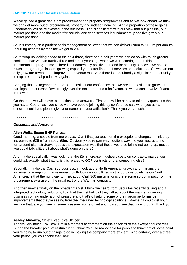We've gained a great deal from procurement and property programmes and as we look ahead we think we can get more out of procurement, property and indeed financing. And a proportion of these gains undoubtedly will be reinvested in the business. That's consistent with our view that our pipeline, our market positions and the market for security and cash services is fundamentally positive given our market positions.

So in summary on a prudent basis management believes that we can deliver £90m to £100m per annum recurring benefits by the time we get to 2020.

So to wrap up looking ahead to the next three, three and a half years we can do so with much greater confident than we had frankly three and a half years ago when we were starting out on this transformation programme. There is fundamentally positive demand for security services; we have a much stronger organisation, growing capability, a better line up of services and solutions. So we can not only grow our revenue but improve our revenue mix. And there is undoubtedly a significant opportunity to capture material productivity gains.

Bringing those altogether and that's the basis of our confidence that we are in a position to grow our earnings and our cash flow strongly over the next three and a half years, all with a conservative financial framework.

On that note we will move to questions and answers. Tim and I will be happy to take any questions that you have. Could I ask you since we have people joining this by conference call, when you ask a question could you please give your name and your affiliation? Thank you very much.

. . . . . . . . . . . . . . . . . . . . . . . . . . . . . . . . . . . . . . . . . . . . . . . . . . . . . . . . . . . . . .

#### *Questions and Answers*

# **Allen Wells, Exane BNP Paribas**

Good morning, a couple from me please. Can I first just touch on the exceptional charges, I think they increased to £25m from about £8m. Obviously you're part way - quite a way into your restructuring turnaround plan, strategy, I guess the expectation was that these would be falling not going up, maybe you could talk a little bit about what's gone on there?

And maybe specifically I was looking at the £5m increase in delivery costs on contracts, maybe you could talk exactly what that is, is this related to OCP contracts or that something else?

Secondly, maybe the Cash360 business, if I look at the North American growth and margins the incremental margin on that revenue growth looks about 5%, so sort of 50 basis points below North American, is that the right way to think about Cash360 margins, or is there some sort of impact from the procurement exercise on the initial part of the Walmart contract?

And then maybe finally on the broader market, I think we heard from Securitas recently talking about integrated technology solutions, I think at the first half call they talked about the manned guarding business coming under a bit of pressure and that's offsetting some of the margin performance improvements that they're seeing from the integrated technology solutions. Maybe if I could get your view on that, are you seeing some pressure, some offset and how you see that playing out? Thank you.

. . . . . . . . . . . . . . . . . . . . . . . . . . . . . . . . . . . . . . . . . . . . . . . . . . . . . . . . . . . . . .

#### **Ashley Almanza, Chief Executive Officer**

Thanks very much, I will ask Tim in a moment to comment on the specifics of the exceptional charges. But on the broader point of restructuring I think it's quite reasonable for people to think that at some point you're going to run out of things to do in making the company more efficient. And certainly over a three year period you could take that view.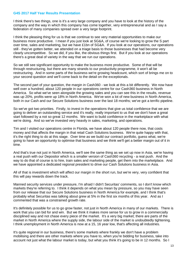I think there's two things, one is it's a very large company and you have to look at the history of the company and the way in which this company has come together, very entrepreneurial and as I say a federation of many companies spread over a very large footprint.

I think the pleasing thing for us is that we continue to see very material opportunities to make our business more productive. I mean if you just look at SG&A, of course we're looking to grow the S part over time, sales and marketing, but we have £1bn of SG&A. If you look at our operations, our operations still - they've gotten better, we attended on a triage basis to those businesses that had become very clearly uncompetitive. So we did, if you like, the obvious things first. But if you look at our operations there's a great deal of variety in the way that we run our operations.

So we still see significant opportunity to make the business more productive. Some of that will be through restructuring, but there are many strands to our productivity programme, it won't all be restructuring. And in some parts of the business we're growing headcount, which sort of brings me on to your second question and we'll come back to the detail on the exceptionals.

The second part of your question, the margin in Cash360 - we look at this a bit differently. We now have well over a hundred, about 120 people in our operations centre for our Cash360 business in North America. So what we've seen alongside the growing sales and you can see this in the results, revenue was up 20%, profits were up 18% in North America. We've won a lot of new business in North America, both in our Cash and our Secure Solutions business over the last 18 months; we've got a terrific pipeline.

So we've got two priorities. Firstly, to invest in the operations that give us total confidence that we are going to deliver an outstanding service and it's really, really important to us that we don't have a great start followed by a not so great 12 months. We want to build confidence in the marketplace with what we're doing. And so we've invested very heavily in sales, marketing, and operations.

Tim and I visited our operations centre in Florida, we have about 120 people there now, that costs money and that affects the margin in that retail Cash Solutions business. We're quite happy with that, it's the right thing to do at this stage. Over time as we build our contract portfolio, guess what, we're going to have an opportunity to optimise that business and we think we'll get a better margin out of it in time.

And that's true not just in North America, we'll see the same thing as we set up now in Asia, we're having a real push with our Depositor which is a smaller version of Cash360 recycling - a real push. And the way to do that of course is to hire, train sales and marketing people, get them into the marketplace. And we have appointed a dedicated regional president to drive our Cash Solutions business in Asia.

All of that is investment which will affect our margin in the short run, but we're very, very confident that this will pay rewards down the track.

Manned security services under pressure, I'm afraid I didn't Securitas' comments, so I don't know which markets they're referring to. I think it depends on what you mean by pressure, so you may have seen from our release that our Secure Solutions business in North America for example, and I think that's probably what Securitas was talking about grew at 5% in the first six months of this year. And as I commented that was a constrained growth rate.

It's definitely possible for us to go grow faster, not just in North America in many of our markets. There is work that you can bid for and win. But we think it makes more sense for us to grow in a commercially disciplined way and not chase every piece of the market. It's a very big market; there are parts of the market in North America where the supply side, the labour side of the market is undoubtedly tightening. I think unemployment in North America is now at a 15, 16 year low, that's affecting all industries.

It's quite regional in our business, there's some markets where frankly we don't have a problem mobilising and there are other markets where you have to, when you're bidding for business, take into account not just what the labour market is today, but what you think it's going to be in 12 months. So I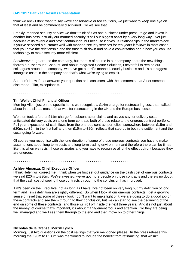think we are - I don't want to say we're conservative or too cautious, we just want to keep one eye on that at least and be commercially disciplined. So we see that.

Frankly, manned security service we don't think of it as one business under pressure go and invest in another business, actually our manned security is still our biggest asset by a very long way. Not just because of its revenue and profit contribution, but because it gives us relationships in the marketplace. If you've serviced a customer well with manned security services for ten years it follows in most cases that you have the relationship and the trust to sit down and have a conversation about how you can use technology to make security more efficient.

So wherever I go around the company, but there is of course in our company about the new things, there's a buzz around Cash360 and about Integrated Secure Solutions, I never fail to remind our colleagues around the company, we have got a terrific manned security business and it's our biggest intangible asset in the company and that's what we're trying to exploit.

So I don't know if that answers your question or is consistent with the comments that Alf or someone else made. Tim, exceptionals.

. . . . . . . . . . . . . . . . . . . . . . . . . . . . . . . . . . . . . . . . . . . . . . . . . . . . . . . . . . . . . .

# **Tim Weller, Chief Financial Officer**

Morning Allen, just on the specific items we recognise a £14m charge for restructuring cost that I talked about in the slides, most of that was for restructuring in the UK and the Europe businesses.

We then took a further £11m charge for subcontractor claims and as you say for delivery costs anticipated delivery costs on a long term contract, both of those relate to the onerous contract portfolio. Full year expectation of cash flows from the onerous contract portfolios, somewhere between £15m and £20m, so £6m in the first half and then £15m to £20m reflects that step up in both the settlement and the costs going forward.

Of course you recognise with the long duration of some of those onerous contracts you have to make assumptions about long term costs and long term trading environment and therefore there can be times like this when we revisit those estimates and you have to recognise all of the effect upfront because they are onerous.

#### . . . . . . . . . . . . . . . . . . . . . . . . . . . . . . . . . . . . . . . . . . . . . . . . . . . . . . . . . . . . . .

#### **Ashley Almanza, Chief Executive Officer**

I think Helen will correct me, I think when we first set out guidance on the cash cost of onerous contracts we said £20m to £30m. We've invested, we've got more people on those contracts and there's no doubt that the cash cost of seeing those contracts through to the conclusion has improved.

Tim's been on the Executive, not as long as I have, I've not been on very long but my definition of long term and Tim's definition are slightly different. So when I look at our onerous contracts I get a growing sense of relief that some of these - look I don't want to make light of it, we are going to do a good job on these contracts and see them through to their conclusion, but we can start to see the beginning of the end on some of these contracts, and those will roll off inside the next three years. And it's not just about the money, of course that's important, it's about management focus and attention. So they are being well managed and we'll see them through to the end and then move on to other things.

. . . . . . . . . . . . . . . . . . . . . . . . . . . . . . . . . . . . . . . . . . . . . . . . . . . . . . . . . . . . . .

#### **Nicholas de la Grense, Merrill Lynch**

Morning, just two questions on the cost savings that you mentioned please. In the press release this morning the £90m to £100m was mentioned to include the benefit from refinancing, that wasn't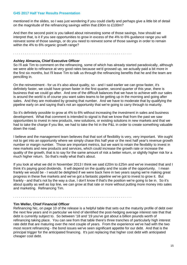mentioned in the slides, so I was just wondering if you could clarify and perhaps give a little bit of detail on the magnitude of the refinancing savings within that £90m to £100m?

And then the second point is you talked about reinvesting some of those savings, how should we interpret that, is it if you see opportunities to grow in excess of the 4% to 6% guidance range you will reinvest some of those savings, or do you need to reinvest some of those savings in order to remain within the 4% to 6% organic growth range?

. . . . . . . . . . . . . . . . . . . . . . . . . . . . . . . . . . . . . . . . . . . . . . . . . . . . . . . . . . . . . .

# **Ashley Almanza, Chief Executive Officer**

So I'll ask Tim to comment on the refinancing, some of which has already started paradoxically, although we were able to refinance at very good rates because we'd grossed up, we actually paid a bit more in the first six months, but I'll leave Tim to talk us through the refinancing benefits that he and the team are pencilling in.

On the reinvestment - for us it's also about quality, so - and I said earlier we can grow faster, it's definitely faster, we could have grown faster in the first quarter, second quarter of this year, there is business that we could go after. And one of the difficult balances that we have to achieve with our sales is around the world is of course you want sales teams to be getting up in the morning and going after sales. And they are motivated by growing that number. And we have to moderate that by qualifying the pipeline early on and saying that's not an opportunity that we're going to carry through to maturity.

So it's definitely possible to grow at 4% to 6% without increasing the investment in sales and business development. What that comment is intended to signal is that we know that from the past we saw opportunities to invest in new products, new solutions, or existing solutions in new markets and that we had to take the charge if you like, we had to take the hit in the P&L in order to create something valuable down the road.

I believe and the management team believes that that sort of flexibility is very, very important. We ought not to get into an opportunity where we simply chase this half year or the next half year's revenue growth number or margin number. Those are important metrics, but we want to retain the flexibility to invest in new markets and new products and services, which could increase the growth rate or increase the quality of the growth, that is to say for the same amount of risk a better return, or slightly higher risk for a much higher return. So that's really what that's about.

If you look at what we did in November 2013 I think we said £20m to £25m and we've invested that and I think it's paying good dividends. It will depend on the quality and the scale of the opportunity. I mean frankly we would be - I would be delighted if we were back here in two years saying we're making great progress in these five markets and we've got a fantastic pipeline we've got to invest to grow it. But frankly - and that's not by the way a clue, I don't know if that's the position we're going to be in. So it's about quality as well as top line, we can grow at that rate or more without putting more money into sales and marketing. Refinancing Tim.

. . . . . . . . . . . . . . . . . . . . . . . . . . . . . . . . . . . . . . . . . . . . . . . . . . . . . . . . . . . . . .

#### **Tim Weller, Chief Financial Officer**

Refinancing Nic, on page 10 of the release is a helpful table that sets out the maturity profile of debt over the next few years and in particular we kind of identified the post-hedging average interest rate that that debt is currently subject to. So between '18 and '19 you've got about a billion pounds worth of refinancing taking place. You can see from that table there's three tranches of particularly high interest rate debt that are maturing over the next couple of years. From the experience we've had with the two most recent refinancing - the bond issues we've seen significant appetite for our debt. And that is the principal trigger for the anticipated financing. It's just replacing that higher cost debt with anticipated cheaper cost debt.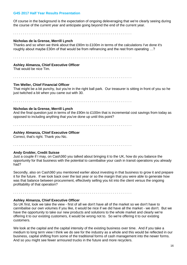Of course in the background is the expectation of ongoing deleveraging that we're clearly seeing during the course of the current year and anticipate going beyond the end of the current year.

. . . . . . . . . . . . . . . . . . . . . . . . . . . . . . . . . . . . . . . . . . . . . . . . . . . . . . . . . . . . . .

# **Nicholas de la Grense, Merrill Lynch**

Thanks and so when we think about that £90m to £100m in terms of the calculations I've done it's roughly about maybe £30m of that would be from refinancing and the rest from operating …?

. . . . . . . . . . . . . . . . . . . . . . . . . . . . . . . . . . . . . . . . . . . . . . . . . . . . . . . . . . . . . .

# **Ashley Almanza, Chief Executive Officer**

That would be nice Tim.

. . . . . . . . . . . . . . . . . . . . . . . . . . . . . . . . . . . . . . . . . . . . . . . . . . . . . . . . . . . . . .

#### **Tim Weller, Chief Financial Officer**

That might be a bit punchy, but you're in the right ball park. Our treasurer is sitting in front of you so he just twitched a bit when you came out with 30.

. . . . . . . . . . . . . . . . . . . . . . . . . . . . . . . . . . . . . . . . . . . . . . . . . . . . . . . . . . . . . .

### **Nicholas de la Grense, Merrill Lynch**

And the final question just in terms of the £90m to £100m that is incremental cost savings from today as opposed to including anything that you've done up until this point?

. . . . . . . . . . . . . . . . . . . . . . . . . . . . . . . . . . . . . . . . . . . . . . . . . . . . . . . . . . . . . .

# **Ashley Almanza, Chief Executive Officer**

Correct, that's right. Thank you Nic.

. . . . . . . . . . . . . . . . . . . . . . . . . . . . . . . . . . . . . . . . . . . . . . . . . . . . . . . . . . . . . .

#### **Andy Grobler, Credit Suisse**

Just a couple if I may, on Cash360 you talked about bringing it to the UK, how do you balance the opportunity for that business with the potential to cannibalise your cash in transit operations you already had?

Secondly, also on Cash360 you mentioned earlier about investing in that business to grow it and prepare it for the future. If we look back over the last year or so the margin that you were able to generate how was that balance between procurement, effectively selling you kit into the client versus the ongoing profitability of that operation?

. . . . . . . . . . . . . . . . . . . . . . . . . . . . . . . . . . . . . . . . . . . . . . . . . . . . . . . . . . . . . .

# **Ashley Almanza, Chief Executive Officer**

So UK first, look we take the view - first of all we don't have all of the market so we don't have to cannibalise our own volumes if you like, it would be nice if we did have all the market - we don't. But we have the opportunity to take our new products and solutions to the whole market and clearly we're offering it to our existing customers, it would be wrong not to. So we're offering it to our existing customers.

We look at the capital and the capital intensity of the existing business over time. And if you take a medium to long term view I think we do see for the industry as a whole and this would be reflected in our business, capital shifting from some of the traditional forms of cash management into the newer forms. And so you might see fewer armoured trucks in the future and more recyclers.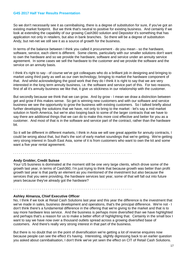So we don't necessarily see it as cannibalising, there is a degree of substitution for sure, if you've got an existing market footprint. But we think that's neutral to positive for existing business. And certainly if we look at extending the capability of our growing Cash360 solution and Depositor it's something that has application not only in retailers, but also in bank branches. So there will be a degree of substitution Andy, but net-net we still see it as a source of growth for the business.

In terms of the balance between I think you called it procurement - do you mean - so the hardware, software, service, each client is different. Some clients, particularly with our smaller solutions don't want to own the hardware and so we provide the hardware, software and service under an annuity service agreement. In some cases we sell the hardware to the customer and we provide the software and the service on an annuity basis.

I think it's right to say - of course we've got colleagues who do a brilliant job in designing and bringing to market using third party as well as our own technology, bringing to market the hardware component of that. And whilst acknowledging the good work that they do I think it is right to say that we are very interested in the long term annuity business, i.e. the software and service part of this. For two reasons, first of all it's annuity business we like that, it give us stickiness in our relationship with the customer.

But secondly because we think that we can grow. And by grow - I mean we draw a distinction between get and grow if this makes sense. So get is winning new customers and with our software and service business we see the opportunity to grow the business with existing customers. So I talked briefly about further developing the solutions that we have, not only to bring to the market - let's say a mid market solution in North America, but we're also looping back to some of the larger contracts that we have to say there are additional things that we can do to make this more cost effective and better for you as a customer. And most of that is in the software and service part of the contract, rather than the hardware bit.

So it will be different in different markets, I think in Asia we will see great appetite for annuity contracts, I could be wrong about that, but that's the sort of early market soundings that we're getting. We're getting very strong interest in South East Asia, some of it is from customers who want to own the kit and some want a five year rental agreement.

. . . . . . . . . . . . . . . . . . . . . . . . . . . . . . . . . . . . . . . . . . . . . . . . . . . . . . . . . . . . . .

. . . . . . . . . . . . . . . . . . . . . . . . . . . . . . . . . . . . . . . . . . . . . . . . . . . . . . . . . . . . . .

#### **Andy Grobler, Credit Suisse**

Your US business is dominated at the moment still be one very large clients, which drove some of the growth last year, in terms of Cash360, I'm just trying to think that because growth was better than profit growth last year is that partly an element as you mentioned of the investment but also because the services that you were providing, the hardware services last year, some of that will fall out into future years because they've already got the hardware?

#### **Ashley Almanza, Chief Executive Officer**

No, I think if we look at Retail Cash Solutions last year and this year the difference is the investment that we've made in sales, business development and operations, that's the principal difference. We're not - I don't think there's a fundamental difference in the offering that we're giving to the market and that is to say more hardware less service. And the business is perhaps more diversified than we have highlighted and perhaps that's a reason for us to make a better effort of highlighting that. Certainly in the small box I want to say we have now over a thousand outlets spread across a growing diversified base of customers. And there's really very strong interest in that part of the business.

But there is no doubt that on the point of diversification we're getting a lot of reverse enquires now because people can see the effect it's having. Interesting, slightly digressing back to an earlier question you asked about cannibalisation, I don't think we've yet seen the effect on CIT of Retail Cash Solutions.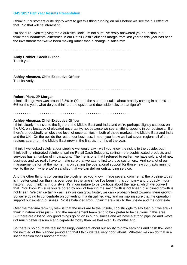I think our customers quite rightly want to get this thing running on rails before we see the full effect of that. So that will be interesting.

I'm not sure - you're giving me a quizzical look, I'm not sure I've really answered your question, but I think the fundamental difference in our Retail Cash Solutions margin from last year to this year has been the investment that we've been making rather than a change in sales mix.

. . . . . . . . . . . . . . . . . . . . . . . . . . . . . . . . . . . . . . . . . . . . . . . . . . . . . . . . . . . . . .

#### **Andy Grobler, Credit Suisse**

Thank you.

. . . . . . . . . . . . . . . . . . . . . . . . . . . . . . . . . . . . . . . . . . . . . . . . . . . . . . . . . . . . . .

# **Ashley Almanza, Chief Executive Officer**

Thanks Andy.

. . . . . . . . . . . . . . . . . . . . . . . . . . . . . . . . . . . . . . . . . . . . . . . . . . . . . . . . . . . . . .

#### **Robert Plant, JP Morgan**

It looks like growth was around 3.5% in Q2, and the statement talks about broadly coming in at a 4% to 6% for the year, what do you think are the upside and downside risks to that figure?

. . . . . . . . . . . . . . . . . . . . . . . . . . . . . . . . . . . . . . . . . . . . . . . . . . . . . . . . . . . . . .

# **Ashley Almanza, Chief Executive Officer**

I think clearly the risks to the figure at the Middle East and India and we're perhaps slightly cautious on the UK, only because of elevated uncertainty, not because we see anything specific in our business. But there's undoubtedly an elevated level of uncertainties in both of those markets, the Middle East and India and the UK. On the upside the rest of our business, I mean you know we had seven regions all of the regions apart from the Middle East grew in the first six months of the year.

I think if we looked solely at our pipeline we would say - well you know the risk is to the upside, but I think selling integrated solutions, selling Retail Cash Solutions, selling more sophisticated products and services has a number of implications. The first is one that I referred to earlier, we have sold a lot of new business and we really have to make sure that we attend first to those customers. And so a lot of our management effort at the moment is on getting the operational support for those new contracts running well to the point where we're satisfied that we can deliver outstanding service.

And the other thing is converting the pipeline, so you know I made several comments, the pipeline today is in better condition than it's ever been in the time since I've been in this company and probably in our history. But I think it's in our style, it's in our nature to be cautious about the rate at which we convert that. You know I'm sure you're bored by now of hearing me say growth is not linear, disciplined growth is not linear. We can certainly - as I say we can grow faster, we can - probably tend towards linear growth. So we're going to concentrate on converting in a disciplined way and on making sure that the operation support our existing business. So it's balanced Rob, I think there's risk to the upside and the downside.

Over the medium term my view is that the risks are to the upside, I do struggle to say that, but we are - I think in nature we're just - I and the management team tend to be - prefer to be cautious in this area. But there are a lot of very good things going on in our business and we have a strong pipeline and we've got much better resource and capability today than we had even 12 months ago.

So there is no doubt we feel increasingly confident about our ability to grow earnings and cash flow over the next leg of the planned period and that I think we feel very good about. Whether we can do that in a linear fashion that's another matter.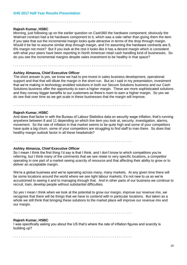. . . . . . . . . . . . . . . . . . . . . . . . . . . . . . . . . . . . . . . . . . . . . . . . . . . . . . . . . . . . . .

#### **Rajesh Kumar, HSBC**

Morning, just following up on the earlier question on Cash360 the hardware component; obviously the Walmart contract had a bit hardware component to it, which was a sale rather than giving them the item. If you take that out the incremental margin looks quite attractive in terms of the drop through margin. Would it be fair to assume similar drop through margin, and I'm assuming the hardware contracts are 5, 6% margin not more? But if you look at the rest it looks like it has a decent margin which is consistent with what your peers have been reporting in North American retail cash handling kind of businesses. So do you see the incremental margins despite sales investment to be healthy in that space?

. . . . . . . . . . . . . . . . . . . . . . . . . . . . . . . . . . . . . . . . . . . . . . . . . . . . . . . . . . . . . .

# **Ashley Almanza, Chief Executive Officer**

The short answer is yes, we know we had to pre-invest in sales business development, operational support and that that will dilute the margin in the short run. But as I said in my presentation, investment that we're making in technology enabled solutions in both our Secure Solutions business and our Cash Solutions business offer the opportunity to earn a higher margin. These are more sophisticated solutions and they convey bigger benefits to our customers so there's room to earn a higher margin. So yes we do see that over time as we get scale in these businesses that the margin will improve.

. . . . . . . . . . . . . . . . . . . . . . . . . . . . . . . . . . . . . . . . . . . . . . . . . . . . . . . . . . . . . .

#### **Rajesh Kumar, HSBC**

And does that factor in with the Bureau of Labour Statistics data on security wage inflation, that's running anywhere between 8 and 11 depending on which line item you look at, security, investigation, alarms, movement. So the rate of inflation in that market seems to be quite high and some of your competitors have quite a big churn, some of your competitors are struggling to find staff to man there. So does that healthy margin outlook factor in all these headwinds?

. . . . . . . . . . . . . . . . . . . . . . . . . . . . . . . . . . . . . . . . . . . . . . . . . . . . . . . . . . . . . .

#### **Ashley Almanza, Chief Executive Officer**

So I mean I think the first thing I'd say is that I think, and I don't know to which competitors you're referring, but I think many of the comments that we see relate to very specific locations, a competitor operating in one part of a market seeing scarcity of resource and that affecting their ability to grow or to deliver an acceptable margin.

We're a global business and we're operating across many, many markets. At any given time there will be some locations around the world where we see tight labour markets; it's not new to us so we're accustomed to seeing it and to managing through that. And in other parts of our business we continue to recruit, train, develop people without substantial difficulties.

So yes I mean I think when we look at the potential to grow our margin, improve our revenue mix, we recognise that there will be things that we have to contend with in particular locations. But taken as a whole we still think that bringing these solutions to the market place will improve our revenue mix and our margin.

. . . . . . . . . . . . . . . . . . . . . . . . . . . . . . . . . . . . . . . . . . . . . . . . . . . . . . . . . . . . . .

#### **Rajesh Kumar, HSBC**

I was specifically asking you about the US that's where the rate of inflation figures and scarcity is building up?

. . . . . . . . . . . . . . . . . . . . . . . . . . . . . . . . . . . . . . . . . . . . . . . . . . . . . . . . . . . . . .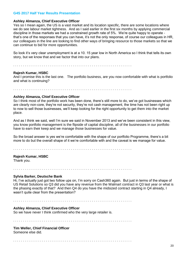#### **Ashley Almanza, Chief Executive Officer**

Yes so I mean again, the US is a vast market and its location specific, there are some locations where we do see labour market tightness. And as I said earlier in the first six months by applying commercial discipline in those markets we had a constrained growth rate of 5%. We're quite happy to operate that's one of the responses that you can have, it's not the only response, of course our colleagues in HR, our colleagues in the line are looking to find other ways of bringing resource to those markets so that we can continue to bid for more opportunities.

So look it's very clear unemployment is at a 10. 15 year low in North America so I think that tells its own story, but we know that and we factor that into our plans.

. . . . . . . . . . . . . . . . . . . . . . . . . . . . . . . . . . . . . . . . . . . . . . . . . . . . . . . . . . . . . .

#### **Rajesh Kumar, HSBC**

And I promise this is the last one. The portfolio business, are you now comfortable with what is portfolio and what is continuing?

. . . . . . . . . . . . . . . . . . . . . . . . . . . . . . . . . . . . . . . . . . . . . . . . . . . . . . . . . . . . . .

#### **Ashley Almanza, Chief Executive Officer**

So I think most of the portfolio work has been done, there's still more to do, we've got businesses which are clearly non-core, they're not security, they're not cash management, the time has not been right up to now to sell those businesses, we'll keep looking for the right opportunity to get them into the market place.

And as I think we said, well I'm sure we said in November 2013 and we've been consistent in this view, you know portfolio management is the flipside of capital discipline, all of the businesses in our portfolio have to earn their keep and we manage those businesses for value.

So the broad answer is yes we're comfortable with the shape of our portfolio Programme, there's a bit more to do but the overall shape of it we're comfortable with and the caveat is we manage for value.

. . . . . . . . . . . . . . . . . . . . . . . . . . . . . . . . . . . . . . . . . . . . . . . . . . . . . . . . . . . . . .

# **Rajesh Kumar, HSBC**

Thank you.

. . . . . . . . . . . . . . . . . . . . . . . . . . . . . . . . . . . . . . . . . . . . . . . . . . . . . . . . . . . . . .

#### **Sylvia Barker, Deutsche Bank**

Hi, I've actually just got two follow ups on, I'm sorry on Cash360 again. But just in terms of the shape of US Retail Solutions so Q3 did you have any revenue from the Walmart contract in Q3 last year or what is the phasing exactly of that? And then Q4 do you have the midsized contract starting in Q4 already, I wasn't quite clear from the presentation?

. . . . . . . . . . . . . . . . . . . . . . . . . . . . . . . . . . . . . . . . . . . . . . . . . . . . . . . . . . . . . .

### **Ashley Almanza, Chief Executive Officer**

So we have never I think confirmed who the very large retailer is.

. . . . . . . . . . . . . . . . . . . . . . . . . . . . . . . . . . . . . . . . . . . . . . . . . . . . . . . . . . . . . .

#### **Tim Weller, Chief Financial Officer**

Someone else did.

. . . . . . . . . . . . . . . . . . . . . . . . . . . . . . . . . . . . . . . . . . . . . . . . . . . . . . . . . . . . . .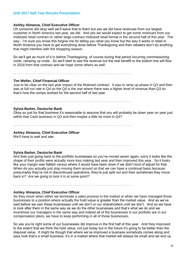# **Ashley Almanza, Chief Executive Officer**

Oh someone did okay well we'll leave that to them but yes we did have revenues from our largest customer in North America last year, we did. And yes we would expect to get some revenues from our midsized retail contract or rather large contract midsized retail format in the second half of this year. The way - I'm sure you know this forgive me for telling you what you know but the way it works in retail in North America you have to get everything done before Thanksgiving and then retailers don't do anything that might interfere with the shopping season.

So we'll get as much of it in before Thanksgiving, of course during that period incurring commissioning costs, ramping up costs. So we'll start to see the revenue but the real benefit to the bottom line will flow in 2018 from that contract and we hope some others as well.

. . . . . . . . . . . . . . . . . . . . . . . . . . . . . . . . . . . . . . . . . . . . . . . . . . . . . . . . . . . . . .

# **Tim Weller, Chief Financial Officer**

Just to be clear on the last year impact of the Walmart contract. It was in ramp up phase in Q3 and then was at full run rate in Q4 so the Q4 is the one where there was a higher level of revenue than Q3 so that's how the comps worked for the second half of last year.

. . . . . . . . . . . . . . . . . . . . . . . . . . . . . . . . . . . . . . . . . . . . . . . . . . . . . . . . . . . . . .

#### **Sylvia Barker, Deutsche Bank**

Okay so just for that business it's reasonable to assume that you will probably be down year on year just within that Cash business in Q3 and then maybe a little bit more in Q4?

. . . . . . . . . . . . . . . . . . . . . . . . . . . . . . . . . . . . . . . . . . . . . . . . . . . . . . . . . . . . . .

#### **Ashley Almanza, Chief Executive Officer**

We'll have to wait and see.

. . . . . . . . . . . . . . . . . . . . . . . . . . . . . . . . . . . . . . . . . . . . . . . . . . . . . . . . . . . . . .

. . . . . . . . . . . . . . . . . . . . . . . . . . . . . . . . . . . . . . . . . . . . . . . . . . . . . . . . . . . . . .

#### **Sylvia Barker, Deutsche Bank**

And then just going back to the portfolio businesses so you've moved seven again, sorry it looks like the shape of their profits were actually more loss making last year and then improved this year. So it looks like your margin was flattish versus where it would have been down if we didn't kind of adjust for that. When do you actually just stop moving them around so that we can have a continual basis because presumably they're not in discontinued operations, they're just split out and then sometimes they move back in? Are we going to look it in at some point?

#### **Ashley Almanza, Chief Executive Officer**

So they move when either we terminate a sales process in the market or when we have managed those businesses to a position where actually the hold value is greater than the market value. And as we've said before we own these businesses until we don't or our shareholders until we don't. And so we have to look after them in the same way as we do the other businesses and that's what we do and we incentivise our managers in the same way and indeed all of the businesses in our portfolio are in our compensation plans, we have to keep performing in all of those businesses.

So yes you're right some of our businesses did improve in the first half of this year. And they improved to the extent that we think the hold value, not just today but in the future it's going to be better than the disposal value. It might be though that where we've improved a business somebody comes along and says look that's a small business, it's in a market where that market will always be small and we end up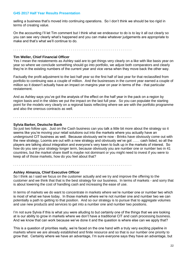selling a business that's moved into continuing operations. So I don't think we should be too rigid in terms of creating value.

On the accounting I'll let Tim comment but I think what we endeavour to do is to lay it all out clearly so you can see very clearly what's happened and you can make whatever judgements are appropriate to make and that's what we'll continue to do.

. . . . . . . . . . . . . . . . . . . . . . . . . . . . . . . . . . . . . . . . . . . . . . . . . . . . . . . . . . . . . .

. . . . . . . . . . . . . . . . . . . . . . . . . . . . . . . . . . . . . . . . . . . . . . . . . . . . . . . . . . . . . .

# **Tim Weller, Chief Financial Officer**

Yes I mean the restatements as Ashley said are to get things very clearly on a like with like basis year on year so where we conclude something should go into portfolio, we adjust both comparators and clearly they're in the existing numbers of the current year and vice versa when they move back the other way.

Factually the profit adjustment to the last half year so the first half of last year for that reclassified from portfolio to continuing was a couple of million. And the businesses in the current year earned a couple of million so it doesn't actually have an impact on margins year on year in terms of the - that particular restatement.

And as Ashley says you've got the analysis of the effect on the half year in the pack on a region by region basis and in the slides we put the impact on the last full year. So you can populate the starting point for the models very clearly on a regional basis reflecting where we are with the portfolio programme and also the onerous contracts as well.

# **Sylvia Barker, Deutsche Bank**

So just two follow ups. Just on the Cash business can you talk a little bit more about the strategy so it seems like you're moving your retail solutions out into the markets where you actually have an underground CIT business as well. Because obviously we're now - Brinks have obviously come out with the new strategy, Loomis are out with a new strategy and obviously we've got …… cash listed, so all the players are talking about integration and everyone's very keen to bulk up in the markets of interest. So how do you see your strategy longer term, because obviously you are number one or number two in 41 countries, but the market share itself is maybe not dominant or you might need to invest if you were to keep all of those markets, how do you feel about that?

. . . . . . . . . . . . . . . . . . . . . . . . . . . . . . . . . . . . . . . . . . . . . . . . . . . . . . . . . . . . . .

# **Ashley Almanza, Chief Executive Officer**

So I think as I said we focus on the customer actually and we try and improve the offering to the customer and we think that that is the best strategy for our business. In terms of markets - and sorry that is about lowering the cost of handling cash and increasing the ease of use.

In terms of markets we do want to concentrate in markets where we're number one or number two which is most of what we have today. In those markets where we're not number one and number two we can potentially a path to getting to that position. And so our strategy is to pursue that to aggregate volumes and use new products and services to get into a number one and number two positions.

I'm not sure Sylvia if this is what you were alluding to but certainly one of the things that we are looking at is our ability to grow in markets where we don't have a traditional CIT and cash processing business. And we know that can work because we've done it and the question is where else can we apply that?

This is a question of priorities really, we're faced on the one hand with a truly very exciting pipeline in markets where we are already established and finite resource and so that is our number one priority to grow that. Certainly where we have an advantage, I'm sure everyone says they have an advantage, but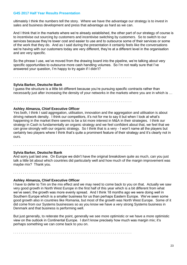ultimately I think the numbers tell the story. Where we have the advantage our strategy is to invest in sales and business development and press that advantage as hard as we can.

And I think that in the markets where we're already established, the other part of our strategy of course is to incentivise out sourcing by customers and incentivise switching by customers. So to switch to our services because they're lower cost and easier to use and to outsource some of their services or some of the work that they do. And as I said during the presentation it certainly feels like the conversations we're having with our customers today are very different, they're at a different level in the organisation and are very specific.

So the phrase I use, we've moved from the drawing board into the pipeline, we're talking about very specific opportunities to outsource more cash handling volumes. So I'm not really sure that I've answered your question, I'm happy to try again if I didn't?

. . . . . . . . . . . . . . . . . . . . . . . . . . . . . . . . . . . . . . . . . . . . . . . . . . . . . . . . . . . . . .

#### **Sylvia Barker, Deutsche Bank**

I guess the structure is a little bit different because you're pursuing specific contracts rather than necessarily just after increasing the density of your networks in the markets where you are in which is ...

. . . . . . . . . . . . . . . . . . . . . . . . . . . . . . . . . . . . . . . . . . . . . . . . . . . . . . . . . . . . . .

### **Ashley Almanza, Chief Executive Officer**

Yes both, I think I said aggregation, utilisation, innovation and the aggregation and utilisation is about driving network density. I think our competitors, it's not for me to say it but when I look at what's happening in the market there seems to be a lot more interest in M&A in their strategies. I think our strategy in Cash is fundamentally an organic strategy and we feel confident about that, we feel that we can grow strongly with our organic strategy. So I think that is a very - I won't name all the players but certainly two players where I think that's quite a prominent feature of their strategy and it's clearly not in ours.

. . . . . . . . . . . . . . . . . . . . . . . . . . . . . . . . . . . . . . . . . . . . . . . . . . . . . . . . . . . . . .

#### **Sylvia Barker, Deutsche Bank**

And sorry just last one. On Europe we didn't have the original breakdown quite as much, can you just talk a little bit about which countries did particularly well and how much of the margin improvement was maybe mix? Thank you.

. . . . . . . . . . . . . . . . . . . . . . . . . . . . . . . . . . . . . . . . . . . . . . . . . . . . . . . . . . . . . .

#### **Ashley Almanza, Chief Executive Officer**

I have to defer to Tim on the mix effect and we may need to come back to you on that. Actually we saw very good growth in North West Europe in the first half of this year which is a bit different from what we've seen; the growth was more evenly spread. And I think 18 months ago we were doing well in Southern Europe which is a smaller business for us than perhaps Eastern Europe. We've seen some good growth also in countries like Romania, but most of the growth was North West Europe. Some of it did come from our Systems businesses so as you know we have a very strong Systems business in Denmark and that business is performing well.

But just generally, to reiterate the point, generally we see more optimistic or we have a more optimistic view on the outlook in Continental Europe. I don't know precisely how much was margin mix; it's perhaps something we can come back to you on.

. . . . . . . . . . . . . . . . . . . . . . . . . . . . . . . . . . . . . . . . . . . . . . . . . . . . . . . . . . . . . .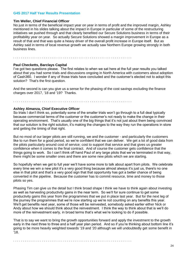#### **Tim Weller, Chief Financial Officer**

No just in terms of the beneficial impact year on year in terms of profit and the improved margin, Ashley mentioned in his slides talking about the impact in Europe in particular of some of the restructuring initiatives we pushed through and that clearly benefited our Secure Solutions business in terms of their profitability year on year. So actually Secure Solutions showed a margin improvement in Europe as a result of that and that was quite a heavy driver of the overall profit increase in Europe itself. But as Ashley said in terms of local revenue growth we actually saw Northern Europe growing strongly in both business lines.

. . . . . . . . . . . . . . . . . . . . . . . . . . . . . . . . . . . . . . . . . . . . . . . . . . . . . . . . . . . . . .

#### **Paul Checketts, Barclays Capital**

I've got two questions please. The first relates to when we sat here at the full year results you talked about that you had some trials and discussions ongoing in North America with customers about adoption of Cash360. I wonder if any of those trials have concluded and the customer's elected not to adopt this solution? That's the first question.

And the second is can you give us a sense for the phasing of the cost savings excluding the finance charges over 2017, '18 and '19? Thanks.

. . . . . . . . . . . . . . . . . . . . . . . . . . . . . . . . . . . . . . . . . . . . . . . . . . . . . . . . . . . . . .

#### **Ashley Almanza, Chief Executive Officer**

So trials I don't think so, potentially some of the smaller trials won't go through to a full deal typically because commercial terms of the customer or the customer's not ready to make the change in their operating environment. That's usually one of the big things that it's not just about them being convinced that our solution is the right solution, it's making the changes to the way they run the operations in store and getting the timing of that right.

But no most of our larger pilots are still running, we and the customer - and particularly the customers like to run them for a good period, so we're confident that we can deliver. We get a lot of good data from the pilots particularly around cost of service; cost to support that service and that gives us greater confidence when it comes to the final contract. And of course the customer gets confidence that the things going to work. So I can't think off hand Paul of any large pilots that we've terminated in that way, there might be some smaller ones and there are some new pilots which we are starting.

So hopefully when we get to full year we'll have some more to talk about apart from pilots. We celebrate every time we win a new pilot it's a very good thing because almost always it's just us, there's no one else in that pilot and that's a very good sign that that opportunity has got a better chance of being converted in the pipeline. Because the customer has to commit resource, time and money to those pilots so yes.

Phasing Tim can give us the detail but I think broad shape I think we have to think again about investing as well as harvesting productivity gains in the near term. So we'll for sure continue to get some productivity gains this year from the programmes that we put in place last year. But for the next leg of the journey the programmes that we're now starting up we're not counting on any benefits this year. We'll get benefits next year, some of those will be reinvested, somebody asked earlier either Nick or Andy about how we should think about the reinvestment. I think the way to think about that is we'll do more of the reinvestment early, in broad terms that's what we're looking to do if possible.

That is to say we want to bring the growth opportunities forward and apply the investment to the growth early in the next three to three and a half year plan period. And so if you're thinking about bottom line it's going to be more heavily weighted towards '19 and '20 although we will undoubtedly get some benefit in '18.

. . . . . . . . . . . . . . . . . . . . . . . . . . . . . . . . . . . . . . . . . . . . . . . . . . . . . . . . . . . . . .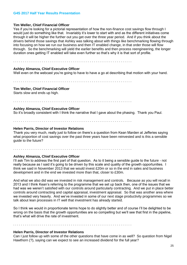# **Tim Weller, Chief Financial Officer**

Yes if you're looking for a pictorial representation of how the non-finance cost savings flow through I would just do something like that. Invariably it's lower to start with and as the different initiatives come through it will be higher the further out you get over the three year period. And if you think about the drivers behind those savings that Ashley was talking about with things like benchmarking flowing through into focusing on how we run our business and then IT enabled change, in that order those will flow through. So the benchmarking will yield the earlier benefits and then process reengineering, the longer duration ones getting IT enabled will take even further so that's why it is that sort of profile.

. . . . . . . . . . . . . . . . . . . . . . . . . . . . . . . . . . . . . . . . . . . . . . . . . . . . . . . . . . . . . .

# **Ashley Almanza, Chief Executive Officer**

Well even on the webcast you're going to have to have a go at describing that motion with your hand.

. . . . . . . . . . . . . . . . . . . . . . . . . . . . . . . . . . . . . . . . . . . . . . . . . . . . . . . . . . . . . .

#### **Tim Weller, Chief Financial Officer**

Starts slow and ends up high.

. . . . . . . . . . . . . . . . . . . . . . . . . . . . . . . . . . . . . . . . . . . . . . . . . . . . . . . . . . . . . .

# **Ashley Almanza, Chief Executive Officer**

So it's broadly consistent with I think the narrative that I gave about the phasing. Thank you Paul.

. . . . . . . . . . . . . . . . . . . . . . . . . . . . . . . . . . . . . . . . . . . . . . . . . . . . . . . . . . . . . .

#### **Helen Parris, Director of Investor Relations**

Thank you very much, really just to follow on there's a question from Kean Marden at Jefferies saying what proportion of cost savings over the past three years have been reinvested and is this a sensible guide to the future?

. . . . . . . . . . . . . . . . . . . . . . . . . . . . . . . . . . . . . . . . . . . . . . . . . . . . . . . . . . . . . .

#### **Ashley Almanza, Chief Executive Officer**

I'll ask Tim to address the first part of that question. As to it being a sensible guide to the future - not really because as I said it's going to be driven by this scale and quality of the growth opportunities. I think we said in November 2013 that we would invest £20m or so in the end in sales and business development and in the end we invested more than that, closer to £30m.

And what we also did was we invested in risk management and controls. Because as you will recall in 2013 and I think Kean's referring to the programme that we set up back then, one of the issues that we had was we weren't satisfied with our controls around particularly contracting. And we put in place better controls around contracting and capital appraisal, investment appraisal. So that was another area where we invested very heavily. And we've invested in some of our next stage productivity programmes so we talk about lean processes in IT well that investment has already started.

So I think we would in proportionate terms hope to do slightly better and of course I'll be delighted to be wrong on the basis that the growth opportunities are so compelling but we'll see that first in the pipeline, that's what will drive the rate of investment.

. . . . . . . . . . . . . . . . . . . . . . . . . . . . . . . . . . . . . . . . . . . . . . . . . . . . . . . . . . . . . .

#### **Helen Parris, Director of Investor Relations**

Can I just follow up with some of the other questions that have come in as well? So question from Nigel Hawthorn (?), saying can we expect to see an increased dividend for the full year?